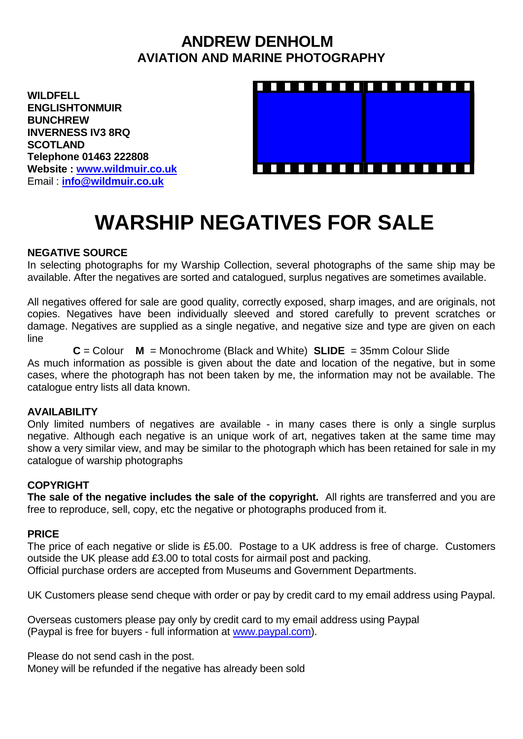## **ANDREW DENHOLM AVIATION AND MARINE PHOTOGRAPHY**

**WILDFELL ENGLISHTONMUIR BUNCHREW INVERNESS IV3 8RQ SCOTLAND Telephone 01463 222808 Website : [www.wildmuir.co.uk](http://www.wildmuir.co.uk/)** Email : **[info@wildmuir.co.uk](mailto:info@wildmuir.co.uk)**



# **WARSHIP NEGATIVES FOR SALE**

#### **NEGATIVE SOURCE**

In selecting photographs for my Warship Collection, several photographs of the same ship may be available. After the negatives are sorted and catalogued, surplus negatives are sometimes available.

All negatives offered for sale are good quality, correctly exposed, sharp images, and are originals, not copies. Negatives have been individually sleeved and stored carefully to prevent scratches or damage. Negatives are supplied as a single negative, and negative size and type are given on each line

**C** = Colour **M** = Monochrome (Black and White) **SLIDE** = 35mm Colour Slide As much information as possible is given about the date and location of the negative, but in some cases, where the photograph has not been taken by me, the information may not be available. The catalogue entry lists all data known.

#### **AVAILABILITY**

Only limited numbers of negatives are available - in many cases there is only a single surplus negative. Although each negative is an unique work of art, negatives taken at the same time may show a very similar view, and may be similar to the photograph which has been retained for sale in my catalogue of warship photographs

### **COPYRIGHT**

**The sale of the negative includes the sale of the copyright.** All rights are transferred and you are free to reproduce, sell, copy, etc the negative or photographs produced from it.

#### **PRICE**

The price of each negative or slide is £5.00. Postage to a UK address is free of charge. Customers outside the UK please add £3.00 to total costs for airmail post and packing. Official purchase orders are accepted from Museums and Government Departments.

UK Customers please send cheque with order or pay by credit card to my email address using Paypal.

Overseas customers please pay only by credit card to my email address using Paypal (Paypal is free for buyers - full information at [www.paypal.com\)](http://www.paypal.com/).

Please do not send cash in the post.

Money will be refunded if the negative has already been sold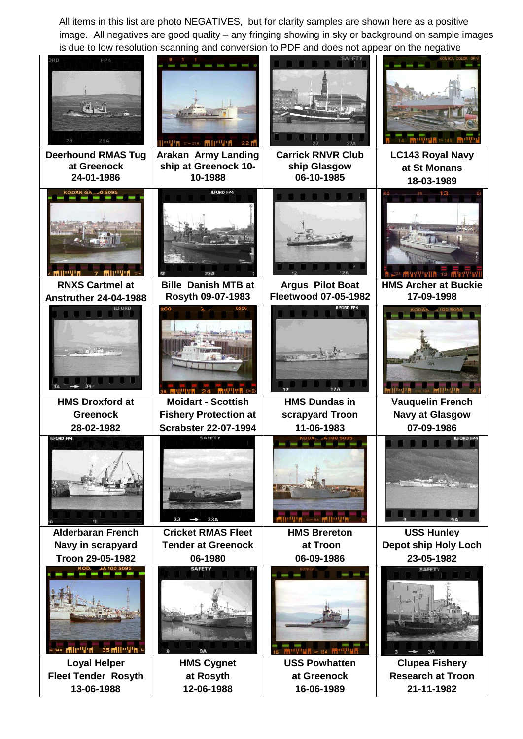All items in this list are photo NEGATIVES, but for clarity samples are shown here as a positive image. All negatives are good quality – any fringing showing in sky or background on sample images is due to low resolution scanning and conversion to PDF and does not appear on the negative

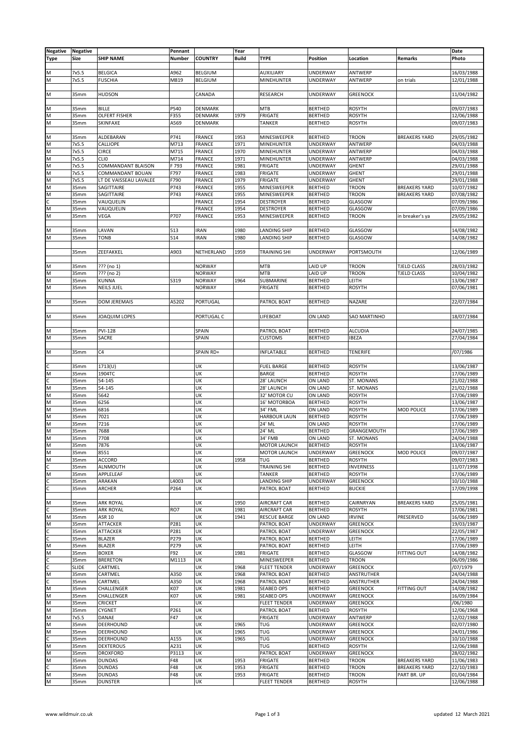| <b>Negative</b> | <b>Negative</b>  |                        | Pennant       |                | Year         |                     |                 |                     |                      | Date       |
|-----------------|------------------|------------------------|---------------|----------------|--------------|---------------------|-----------------|---------------------|----------------------|------------|
| <b>Type</b>     | Size             | <b>SHIP NAME</b>       | <b>Number</b> | <b>COUNTRY</b> | <b>Build</b> | <b>TYPE</b>         | <b>Position</b> | Location            | Remarks              | Photo      |
|                 |                  |                        |               |                |              |                     |                 |                     |                      |            |
|                 |                  | <b>BELGICA</b>         | A962          | <b>BELGIUM</b> |              | AUXILIARY           |                 | ANTWERP             |                      | 16/03/1988 |
| М               | 7x5.5            |                        |               |                |              |                     | <b>UNDERWAY</b> |                     |                      |            |
| M               | 7x5.5            | <b>FUSCHIA</b>         | M819          | <b>BELGIUM</b> |              | MINEHUNTER          | UNDERWAY        | ANTWERP             | on trials            | 12/01/1988 |
|                 |                  |                        |               |                |              |                     |                 |                     |                      |            |
| M               | 35mm             | <b>HUDSON</b>          |               | CANADA         |              | RESEARCH            | UNDERWAY        | <b>GREENOCK</b>     |                      | 11/04/1982 |
|                 |                  |                        |               |                |              |                     |                 |                     |                      |            |
| М               | 35mm             | <b>BILLE</b>           | P540          | DENMARK        |              | <b>MTB</b>          | <b>BERTHED</b>  | <b>ROSYTH</b>       |                      | 09/07/1983 |
| M               | 35mm             | <b>OLFERT FISHER</b>   | F355          | DENMARK        | 1979         | FRIGATE             | <b>BERTHED</b>  | <b>ROSYTH</b>       |                      | 12/06/1988 |
| М               | 35mm             | SKINFAXE               | A569          | DENMARK        |              | <b>TANKER</b>       | <b>BERTHED</b>  | <b>ROSYTH</b>       |                      | 09/07/1983 |
|                 |                  |                        |               |                |              |                     |                 |                     |                      |            |
| M               | 35mm             | ALDEBARAN              | P741          | FRANCE         | 1953         | MINESWEEPER         | <b>BERTHED</b>  | <b>TROON</b>        | <b>BREAKERS YARD</b> | 29/05/1982 |
| M               | 7x5.5            | CALLIOPE               | M713          | <b>FRANCE</b>  | 1971         | MINEHUNTER          | UNDERWAY        | ANTWERP             |                      | 04/03/1988 |
| М               | 7x5.5            | <b>CIRCE</b>           | M715          | <b>FRANCE</b>  | 1970         | MINEHUNTER          | UNDERWAY        | ANTWERP             |                      | 04/03/1988 |
| M               | 7x5.5            | <b>CLIO</b>            | M714          | <b>FRANCE</b>  | 1971         | MINEHUNTER          | UNDERWAY        | ANTWERP             |                      | 04/03/1988 |
| M               | 7x5.5            | COMMANDANT BLAISON     | F 793         | FRANCE         | 1981         | FRIGATE             | UNDERWAY        | <b>GHENT</b>        |                      | 29/01/1988 |
|                 |                  |                        |               |                |              |                     |                 |                     |                      |            |
| М               | 7x5.5            | COMMANDANT BOUAN       | F797          | <b>FRANCE</b>  | 1983         | FRIGATE             | UNDERWAY        | <b>GHENT</b>        |                      | 29/01/1988 |
| M               | 7x5.5            | LT DE VAISSEAU LAVALEE | F790          | FRANCE         | 1979         | FRIGATE             | <b>UNDERWAY</b> | <b>GHENT</b>        |                      | 29/01/1988 |
| М               | 35mm             | SAGITTAIRE             | P743          | FRANCE         | 1955         | MINESWEEPER         | <b>BERTHED</b>  | <b>TROON</b>        | <b>BREAKERS YARD</b> | 10/07/1982 |
| M               | 35mm             | SAGITTAIRE             | P743          | FRANCE         | 1955         | MINESWEEPER         | <b>BERTHED</b>  | <b>TROON</b>        | <b>BREAKERS YARD</b> | 07/08/1982 |
| Ċ               | 35mm             | VAUQUELIN              |               | FRANCE         | 1954         | <b>DESTROYER</b>    | <b>BERTHED</b>  | GLASGOW             |                      | 07/09/1986 |
| М               | 35mm             | VAUQUELIN              |               | FRANCE         | 1954         | <b>DESTROYER</b>    | <b>BERTHED</b>  | GLASGOW             |                      | 07/09/1986 |
| M               | 35mm             | VEGA                   | P707          | <b>FRANCE</b>  | 1953         | MINESWEEPER         | <b>BERTHED</b>  | <b>TROON</b>        | in breaker's ya      | 29/05/1982 |
|                 |                  |                        |               |                |              |                     |                 |                     |                      |            |
| М               | 35mm             | LAVAN                  | 513           | <b>IRAN</b>    | 1980         | LANDING SHIP        | <b>BERTHED</b>  | GLASGOW             |                      | 14/08/1982 |
| M               | 35mm             | <b>TONB</b>            | 514           | <b>IRAN</b>    | 1980         | LANDING SHIP        | <b>BERTHED</b>  | GLASGOW             |                      | 14/08/1982 |
|                 |                  |                        |               |                |              |                     |                 |                     |                      |            |
|                 | 35mm             | ZEEFAKKEL              | A903          | NETHERLAND     | 1959         | <b>TRAINING SHI</b> | UNDERWAY        | PORTSMOUTH          |                      | 12/06/1989 |
|                 |                  |                        |               |                |              |                     |                 |                     |                      |            |
|                 |                  |                        |               |                |              |                     |                 |                     |                      |            |
| М               | 35mm             | ??? (no 1)             |               | <b>NORWAY</b>  |              | <b>MTB</b>          | LAID UP         | <b>TROON</b>        | <b>TJELD CLASS</b>   | 28/03/1982 |
| М               | 35mm             | ??? (no 2)             |               | <b>NORWAY</b>  |              | <b>MTB</b>          | LAID UP         | <b>TROON</b>        | <b>TJELD CLASS</b>   | 10/04/1982 |
| M               | 35mm             | KUNNA                  | S319          | <b>NORWAY</b>  | 1964         | SUBMARINE           | <b>BERTHED</b>  | LEITH               |                      | 13/06/1987 |
| M               | 35mm             | <b>NEILS JUEL</b>      |               | <b>NORWAY</b>  |              | <b>FRIGATE</b>      | <b>BERTHED</b>  | <b>ROSYTH</b>       |                      | 07/06/1981 |
|                 |                  |                        |               |                |              |                     |                 |                     |                      |            |
| M               | 35mm             | <b>DOM JEREMAIS</b>    | A5202         | PORTUGAL       |              | PATROL BOAT         | <b>BERTHED</b>  | NAZARE              |                      | 22/07/1984 |
|                 |                  |                        |               |                |              |                     |                 |                     |                      |            |
| M               | 35mm             | JOAQUIM LOPES          |               | PORTUGAL C     |              | LIFEBOAT            | ON LAND         | <b>SAO MARTINHO</b> |                      | 18/07/1984 |
|                 |                  |                        |               |                |              |                     |                 |                     |                      |            |
|                 |                  |                        |               |                |              |                     |                 |                     |                      |            |
| М               | 35mm             | <b>PVI-128</b>         |               | SPAIN          |              | PATROL BOAT         | <b>BERTHED</b>  | <b>ALCUDIA</b>      |                      | 24/07/1985 |
| M               | 35mm             | SACRE                  |               | SPAIN          |              | <b>CUSTOMS</b>      | <b>BERTHED</b>  | <b>IBEZA</b>        |                      | 27/04/1984 |
|                 |                  |                        |               |                |              |                     |                 |                     |                      |            |
| M               | 35mm             | C <sub>4</sub>         |               | SPAIN RD+      |              | <b>INFLATABLE</b>   | <b>BERTHED</b>  | <b>TENERIFE</b>     |                      | /07/1986   |
|                 |                  |                        |               |                |              |                     |                 |                     |                      |            |
| С               | 35mm             | 1713(U)                |               | UK             |              | <b>FUEL BARGE</b>   | <b>BERTHED</b>  | <b>ROSYTH</b>       |                      | 13/06/1987 |
| M               | 35mm             | 1904TC                 |               | UK             |              | <b>BARGE</b>        | <b>BERTHED</b>  | <b>ROSYTH</b>       |                      | 17/06/1989 |
| Ċ               | 35mm             | 54-145                 |               | UK             |              | 28' LAUNCH          | ON LAND         | ST. MONANS          |                      | 21/02/1988 |
| М               | 35mm             | 54-145                 |               | UK             |              | 28' LAUNCH          | ON LAND         | <b>ST. MONANS</b>   |                      | 21/02/1988 |
| M               | 35mm             | 5642                   |               | UK             |              | 32' MOTOR CU        | ON LAND         | <b>ROSYTH</b>       |                      | 17/06/1989 |
|                 |                  |                        |               |                |              |                     |                 |                     |                      |            |
| M               | 35mm             | 6256                   |               | UK             |              | 16' MOTORBOA        | <b>BERTHED</b>  | <b>ROSYTH</b>       |                      | 13/06/1987 |
| М               | 35mm             | 6816                   |               | UK             |              | 34' FML             | ON LAND         | <b>ROSYTH</b>       | MOD POLICE           | 17/06/1989 |
| М               | 35mm             | 7021                   |               | UK             |              | <b>HARBOUR LAUN</b> | <b>BERTHED</b>  | <b>ROSYTH</b>       |                      | 17/06/1989 |
| M               | 35 <sub>mm</sub> | 7216                   |               | UK             |              | 24' ML              | ON LAND         | <b>ROSYTH</b>       |                      | 17/06/1989 |
| M               | 35mm             | 7688                   |               | UK             |              | 24' ML              | <b>BERTHED</b>  | GRANGEMOUTH         |                      | 17/06/1989 |
| M               | 35mm             | 7708                   |               | UK             |              | 34' FMB             | ON LAND         | ST. MONANS          |                      | 24/04/1988 |
| М               | 35mm             | 7876                   |               | UK             |              | MOTOR LAUNCH        | <b>BERTHED</b>  | <b>ROSYTH</b>       |                      | 13/06/1987 |
| M               | 35mm             | 8551                   |               | UK             |              | <b>MOTOR LAUNCH</b> | <b>UNDERWAY</b> | <b>GREENOCK</b>     | MOD POLICE           | 09/07/1987 |
| M               | 35mm             | ACCORD                 |               | UK             | 1958         | <b>TUG</b>          | <b>BERTHED</b>  | <b>ROSYTH</b>       |                      | 09/07/1983 |
| С               | 35mm             | <b>ALNMOUTH</b>        |               | UK             |              | <b>TRAINING SHI</b> | <b>BERTHED</b>  | <b>INVERNESS</b>    |                      | 11/07/1998 |
|                 |                  |                        |               | UK             |              | <b>TANKER</b>       | <b>BERTHED</b>  |                     |                      |            |
| M               | 35mm             | APPLELEAF              |               |                |              |                     |                 | <b>ROSYTH</b>       |                      | 17/06/1989 |
| C               | 35mm             | ARAKAN                 | L4003         | UK             |              | <b>LANDING SHIP</b> | UNDERWAY        | <b>GREENOCK</b>     |                      | 10/10/1988 |
| C               | 35mm             | <b>ARCHER</b>          | P264          | UK             |              | PATROL BOAT         | <b>BERTHED</b>  | <b>BUCKIE</b>       |                      | 17/09/1998 |
|                 |                  |                        |               |                |              |                     |                 |                     |                      |            |
| M               | 35mm             | <b>ARK ROYAL</b>       |               | UK             | 1950         | <b>AIRCRAFT CAR</b> | <b>BERTHED</b>  | CAIRNRYAN           | <b>BREAKERS YARD</b> | 25/05/1981 |
| C               | 35mm             | <b>ARK ROYAL</b>       | RO7           | UK             | 1981         | <b>AIRCRAFT CAR</b> | <b>BERTHED</b>  | <b>ROSYTH</b>       |                      | 17/06/1981 |
| М               | 35mm             | <b>ASR 10</b>          |               | UK             | 1941         | <b>RESCUE BARGE</b> | <b>ON LAND</b>  | <b>IRVINE</b>       | PRESERVED            | 16/06/1989 |
| M               | 35mm             | ATTACKER               | P281          | UK             |              | PATROL BOAT         | UNDERWAY        | <b>GREENOCK</b>     |                      | 19/03/1987 |
| C               | 35mm             | <b>ATTACKER</b>        | P281          | UK             |              | PATROL BOAT         | UNDERWAY        | <b>GREENOCK</b>     |                      | 22/05/1987 |
| C               | 35mm             | <b>BLAZER</b>          | P279          | UK             |              | PATROL BOAT         | <b>BERTHED</b>  | LEITH               |                      | 17/06/1989 |
| М               | 35mm             | <b>BLAZER</b>          | P279          | UK             |              | PATROL BOAT         | <b>BERTHED</b>  | LEITH               |                      | 17/06/1989 |
| M               | 35mm             | <b>BOXER</b>           | F92           | UK             | 1981         | FRIGATE             | <b>BERTHED</b>  | GLASGOW             | <b>FITTING OUT</b>   | 14/08/1982 |
| C               |                  |                        |               |                |              |                     |                 |                     |                      |            |
|                 | 35mm             | <b>BRERETON</b>        | M1113         | UK             |              | MINESWEEPER         | <b>BERTHED</b>  | <b>TROON</b>        |                      | 06/09/1986 |
| С               | <b>SLIDE</b>     | CARTMEL                |               | UK             | 1968         | <b>FLEET TENDER</b> | <b>UNDERWAY</b> | <b>GREENOCK</b>     |                      | /07/1979   |
| М               | 35mm             | CARTMEL                | A350          | UK             | 1968         | PATROL BOAT         | <b>BERTHED</b>  | ANSTRUTHER          |                      | 24/04/1988 |
| C               | 35mm             | CARTMEL                | A350          | UK             | 1968         | PATROL BOAT         | <b>BERTHED</b>  | ANSTRUTHER          |                      | 24/04/1988 |
| M               | 35mm             | CHALLENGER             | K07           | UK             | 1981         | <b>SEABED OPS</b>   | <b>BERTHED</b>  | <b>GREENOCK</b>     | <b>FITTING OUT</b>   | 14/08/1982 |
| M               | 35mm             | CHALLENGER             | K07           | UK             | 1981         | <b>SEABED OPS</b>   | UNDERWAY        | <b>GREENOCK</b>     |                      | 16/09/1984 |
| M               | 35mm             | CRICKET                |               | UK             |              | <b>FLEET TENDER</b> | UNDERWAY        | <b>GREENOCK</b>     |                      | /06/1980   |
| M               | 35mm             | CYGNET                 | P261          | UK             |              | PATROL BOAT         | <b>BERTHED</b>  | <b>ROSYTH</b>       |                      | 12/06/1968 |
| M               | 7x5.5            | DANAE                  | F47           | UK             |              | <b>FRIGATE</b>      | <b>UNDERWAY</b> | ANTWERP             |                      | 12/02/1988 |
| М               | 35mm             | DEERHOUND              |               | UK             | 1965         | TUG                 | <b>UNDERWAY</b> | <b>GREENOCK</b>     |                      | 02/07/1980 |
|                 |                  |                        |               |                |              |                     |                 |                     |                      |            |
| M               | 35mm             | DEERHOUND              |               | UK             | 1965         | TUG                 | UNDERWAY        | <b>GREENOCK</b>     |                      | 24/01/1986 |
| Ċ               | 35mm             | DEERHOUND              | A155          | UK             | 1965         | TUG                 | <b>UNDERWAY</b> | <b>GREENOCK</b>     |                      | 10/10/1988 |
| М               | 35mm             | <b>DEXTEROUS</b>       | A231          | UK             |              | TUG                 | <b>BERTHED</b>  | <b>ROSYTH</b>       |                      | 12/06/1988 |
| M               | 35mm             | <b>DROXFORD</b>        | P3113         | UK             |              | PATROL BOAT         | <b>UNDERWAY</b> | <b>GREENOCK</b>     |                      | 28/02/1982 |
| M               | 35mm             | <b>DUNDAS</b>          | F48           | UK             | 1953         | FRIGATE             | <b>BERTHED</b>  | <b>TROON</b>        | <b>BREAKERS YARD</b> | 11/06/1983 |
| C               | 35mm             | <b>DUNDAS</b>          | F48           | UK             | 1953         | FRIGATE             | <b>BERTHED</b>  | <b>TROON</b>        | <b>BREAKERS YARD</b> | 22/10/1983 |
| М               | 35mm             | <b>DUNDAS</b>          | F48           | UK             | 1953         | FRIGATE             | <b>BERTHED</b>  | <b>TROON</b>        | PART BR. UP          | 01/04/1984 |
| М               | 35mm             | <b>DUNSTER</b>         |               | UK             |              | <b>FLEET TENDER</b> | <b>BERTHED</b>  | <b>ROSYTH</b>       |                      | 12/06/1988 |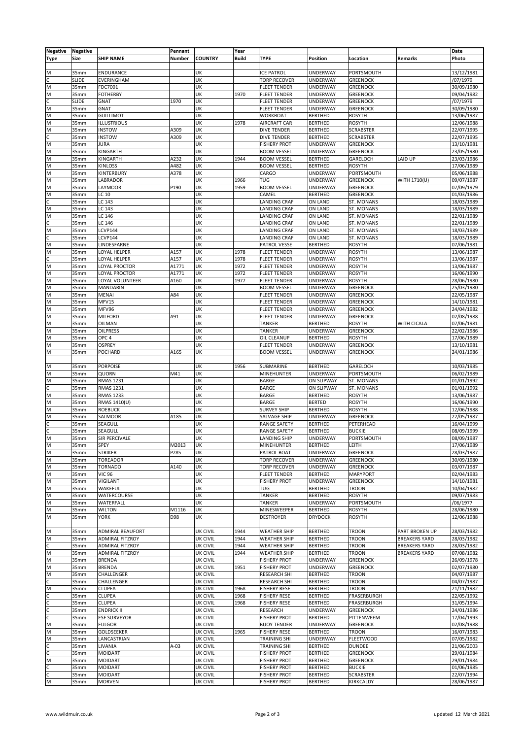| Negative | Negative                 |                        | Pennant       |                                    | Year         |                                            |                                    |                                    |                       | Date                     |
|----------|--------------------------|------------------------|---------------|------------------------------------|--------------|--------------------------------------------|------------------------------------|------------------------------------|-----------------------|--------------------------|
| Type     | Size                     | <b>SHIP NAME</b>       | <b>Number</b> | <b>COUNTRY</b>                     | <b>Build</b> | <b>TYPE</b>                                | <b>Position</b>                    | Location                           | Remarks               | Photo                    |
|          |                          |                        |               |                                    |              |                                            |                                    |                                    |                       |                          |
| M        | 35mm                     | <b>ENDURANCE</b>       |               | UK                                 |              | <b>ICE PATROL</b>                          | <b>UNDERWAY</b>                    | PORTSMOUTH                         |                       | 13/12/1981               |
| C        | <b>SLIDE</b>             | EVERINGHAM             |               | UK                                 |              | <b>TORP RECOVER</b>                        | UNDERWAY                           | <b>GREENOCK</b>                    |                       | /07/1979                 |
| M        | 35mm                     | FDC7001                |               | UK                                 |              | <b>FLEET TENDER</b>                        | UNDERWAY                           | <b>GREENOCK</b>                    |                       | 30/09/1980               |
| M        | 35 <sub>mm</sub>         | <b>FOTHERBY</b>        |               | UK                                 | 1970         | <b>FLEET TENDER</b>                        | <b>UNDERWAY</b>                    | <b>GREENOCK</b>                    |                       | 09/04/1982               |
| C        | <b>SLIDE</b>             | GNAT                   | 1970          | UK                                 |              | <b>FLEET TENDER</b>                        | UNDERWAY                           | <b>GREENOCK</b>                    |                       | /07/1979                 |
| M        | 35 <sub>mm</sub>         | <b>GNAT</b>            |               | UK                                 |              | <b>FLEET TENDER</b>                        | UNDERWAY                           | <b>GREENOCK</b>                    |                       | 30/09/1980               |
| M        | 35mm                     | <b>GUILLIMOT</b>       |               | UK                                 |              | <b>WORKBOAT</b>                            | <b>BERTHED</b>                     | <b>ROSYTH</b>                      |                       | 13/06/1987               |
| M        | 35 <sub>mm</sub>         | <b>ILLUSTRIOUS</b>     |               | UK                                 | 1978         | <b>AIRCRAFT CAR</b>                        | <b>BERTHED</b>                     | <b>ROSYTH</b>                      |                       | 12/06/1988               |
| M<br>Ċ.  | 35mm                     | <b>INSTOW</b>          | A309          | UK                                 |              | DIVE TENDER                                | <b>BERTHED</b>                     | <b>SCRABSTER</b>                   |                       | 22/07/1995               |
| M        | 35mm<br>35 <sub>mm</sub> | <b>INSTOW</b><br>JURA  | A309          | UK<br>UK                           |              | <b>DIVE TENDER</b>                         | <b>BERTHED</b>                     | <b>SCRABSTER</b>                   |                       | 22/07/1995<br>13/10/1981 |
| M        | 35mm                     | KINGARTH               |               | UK                                 |              | <b>FISHERY PROT</b><br><b>BOOM VESSEL</b>  | <b>UNDERWAY</b><br>UNDERWAY        | <b>GREENOCK</b><br><b>GREENOCK</b> |                       | 23/05/1980               |
| M        | 35mm                     | KINGARTH               | A232          | UK                                 | 1944         | <b>BOOM VESSEL</b>                         | <b>BERTHED</b>                     | GARELOCH                           | LAID UP               | 23/03/1986               |
| M        | 35mm                     | <b>KINLOSS</b>         | A482          | UK                                 |              | <b>BOOM VESSEL</b>                         | <b>BERTHED</b>                     | <b>ROSYTH</b>                      |                       | 17/06/1989               |
| M        | 35 <sub>mm</sub>         | KINTERBURY             | A378          | UK                                 |              | CARGO                                      | UNDERWAY                           | PORTSMOUTH                         |                       | 05/06/1988               |
| M        | 35mm                     | LABRADOR               |               | UK                                 | 1966         | TUG                                        | UNDERWAY                           | <b>GREENOCK</b>                    | WITH 1710(U)          | 09/07/1987               |
| M        | 35 <sub>mm</sub>         | LAYMOOR                | P190          | UK                                 | 1959         | <b>BOOM VESSEL</b>                         | UNDERWAY                           | <b>GREENOCK</b>                    |                       | 07/09/1979               |
| M        | 35mm                     | LC 10                  |               | UK                                 |              | CAMEL                                      | <b>BERTHED</b>                     | <b>GREENOCK</b>                    |                       | 01/03/1986               |
| Ċ        | 35mm                     | LC 143                 |               | UK                                 |              | LANDING CRAF                               | ON LAND                            | ST. MONANS                         |                       | 18/03/1989               |
| M        | 35mm                     | LC 143                 |               | UK                                 |              | LANDING CRAF                               | ON LAND                            | ST. MONANS                         |                       | 18/03/1989               |
| M        | 35mm                     | LC 146                 |               | UK                                 |              | LANDING CRAF                               | ON LAND                            | ST. MONANS                         |                       | 22/01/1989               |
| C.       | 35 <sub>mm</sub>         | LC 146                 |               | UK                                 |              | LANDING CRAF                               | ON LAND                            | ST. MONANS                         |                       | 22/01/1989               |
| M        | 35mm                     | LCVP144                |               | UK                                 |              | LANDING CRAF                               | <b>ON LAND</b>                     | ST. MONANS                         |                       | 18/03/1989               |
| Ċ        | 35 <sub>mm</sub>         | CVP144                 |               | UK                                 |              | LANDING CRAF                               | ON LAND                            | ST. MONANS                         |                       | 18/03/1989               |
| M        | 35mm                     | LINDESFARNE            |               | UK                                 |              | PATROL VESSE                               | <b>BERTHED</b>                     | <b>ROSYTH</b>                      |                       | 07/06/1981               |
| M        | 35mm                     | LOYAL HELPER           | A157          | UK                                 | 1978         | <b>FLEET TENDER</b>                        | UNDERWAY                           | <b>ROSYTH</b>                      |                       | 13/06/1987               |
| C        | 35mm                     | LOYAL HELPER           | A157          | UK                                 | 1978         | <b>FLEET TENDER</b>                        | <b>UNDERWAY</b>                    | <b>ROSYTH</b>                      |                       | 13/06/1987               |
| M        | 35 <sub>mm</sub>         | OYAL PROCTOR           | A1771         | UK                                 | 1972         | <b>FLEET TENDER</b>                        | UNDERWAY                           | <b>ROSYTH</b>                      |                       | 13/06/1987               |
| M        | 35 <sub>mm</sub>         | LOYAL PROCTOR          | A1771         | UK                                 | 1972         | <b>FLEET TENDER</b>                        | <b>UNDERWAY</b>                    | <b>ROSYTH</b>                      |                       | 16/06/1990               |
| M        | 35mm                     | LOYAL VOLUNTEER        | A160          | UK                                 | 1977         | <b>FLEET TENDER</b>                        | UNDERWAY                           | <b>ROSYTH</b>                      |                       | 28/06/1980               |
| M        | 35 <sub>mm</sub>         | MANDARIN               |               | UK                                 |              | <b>BOOM VESSEL</b>                         | <b>UNDERWAY</b>                    | <b>GREENOCK</b>                    |                       | 25/03/1980               |
| M        | 35mm                     | <b>MENAI</b>           | A84           | UK                                 |              | <b>FLEET TENDER</b>                        | UNDERWAY                           | <b>GREENOCK</b>                    |                       | 22/05/1987               |
| M        | 35 <sub>mm</sub>         | MFV15<br>MFV96         |               | UK<br>UK                           |              | <b>FLEET TENDER</b>                        | UNDERWAY<br>UNDERWAY               | <b>GREENOCK</b>                    |                       | 14/10/1981               |
| M<br>M   | 35mm<br>35mm             | <b>MILFORD</b>         | A91           | UK                                 |              | <b>FLEET TENDER</b><br><b>FLEET TENDER</b> | UNDERWAY                           | <b>GREENOCK</b><br><b>GREENOCK</b> |                       | 24/04/1982<br>02/08/1988 |
| M        | 35mm                     | OILMAN                 |               | UK                                 |              | <b>TANKER</b>                              | <b>BERTHED</b>                     | <b>ROSYTH</b>                      | WITH CICALA           | 07/06/1981               |
| M        | 35mm                     | <b>OILPRESS</b>        |               | UK                                 |              | <b>TANKER</b>                              | UNDERWAY                           | <b>GREENOCK</b>                    |                       | 22/02/1986               |
| M        | 35 <sub>mm</sub>         | OPC <sub>4</sub>       |               | UK                                 |              | OIL CLEANUP                                | <b>BERTHED</b>                     | <b>ROSYTH</b>                      |                       | 17/06/1989               |
| M        | 35 <sub>mm</sub>         | OSPREY                 |               | UK                                 |              | <b>FLEET TENDER</b>                        | UNDERWAY                           | <b>GREENOCK</b>                    |                       | 13/10/1981               |
| M        | 35 <sub>mm</sub>         | POCHARD                | A165          | UK                                 |              | <b>BOOM VESSEL</b>                         | <b>UNDERWAY</b>                    | <b>GREENOCK</b>                    |                       | 24/01/1986               |
|          |                          |                        |               |                                    |              |                                            |                                    |                                    |                       |                          |
| M        | 35 <sub>mm</sub>         | <b>PORPOISE</b>        |               | UK                                 | 1956         | SUBMARINE                                  | <b>BERTHED</b>                     | GARELOCH                           |                       | 10/03/1985               |
| M        | 35mm                     | QUORN                  | M41           | UK                                 |              | MINEHUNTER                                 | UNDERWAY                           | <b>PORTSMOUTH</b>                  |                       | 06/02/1989               |
| M        | 35 <sub>mm</sub>         | <b>RMAS 1231</b>       |               | UK                                 |              | <b>BARGE</b>                               | ON SLIPWAY                         | ST. MONANS                         |                       | 01/01/1992               |
| С        | 35mm                     | <b>RMAS 1231</b>       |               | UK                                 |              | <b>BARGE</b>                               | ON SLIPWAY                         | ST. MONANS                         |                       | 01/01/1992               |
| M        | 35mm                     | <b>RMAS 1233</b>       |               | UK                                 |              | <b>BARGE</b>                               | <b>BERTHED</b>                     | <b>ROSYTH</b>                      |                       | 13/06/1987               |
| M        | 35 <sub>mm</sub>         | RMAS 1410(U)           |               | UK                                 |              | <b>BARGE</b>                               | <b>BERTED</b>                      | <b>ROSYTH</b>                      |                       | 16/06/1990               |
| M        | 35mm                     | <b>ROEBUCK</b>         |               | UK                                 |              | <b>SURVEY SHIP</b>                         | <b>BERTHED</b>                     | <b>ROSYTH</b>                      |                       | 12/06/1988               |
| M        | 35 <sub>mm</sub>         | SALMOOR                | A185          | UK                                 |              | SALVAGE SHIP                               | UNDERWAY                           | <b>GREENOCK</b>                    |                       | 22/05/1987               |
| C.       | 35mm                     | SEAGULL                |               | UK                                 |              | RANGE SAFETY                               | <b>BERTHED</b>                     | PETERHEAD                          |                       | 16/04/1999               |
| C        | 35mm                     | SEAGULL                |               | UK                                 |              | RANGE SAFETY                               | <b>BERTHED</b>                     | <b>BUCKIE</b>                      |                       | 08/09/1999               |
| M        | 35mm                     | <b>SIR PERCIVALE</b>   |               | UK                                 |              | LANDING SHIP                               | <b>UNDERWAY</b>                    | PORTSMOUTH                         |                       | 08/09/1987               |
| M<br>M   | 35mm                     | SPEY                   | M2013         | UK                                 |              | MINEHUNTER                                 | <b>BERTHED</b>                     | LEITH                              |                       | 17/06/1989<br>28/03/1987 |
| M        | 35mm<br>35mm             | STRIKER<br>TOREADOR    | P285          | UK<br>UK                           |              | PATROL BOAT<br><b>TORP RECOVER</b>         | <b>UNDERWAY</b><br><b>UNDERWAY</b> | <b>GREENOCK</b><br><b>GREENOCK</b> |                       | 30/09/1980               |
| M        | 35mm                     | TORNADO                | A140          | UK                                 |              | <b>TORP RECOVER</b>                        | <b>UNDERWAY</b>                    | <b>GREENOCK</b>                    |                       | 03/07/1987               |
| M        | 35mm                     | <b>VIC 96</b>          |               | UK                                 |              | <b>FLEET TENDER</b>                        | <b>BERTHED</b>                     | <b>MARYPORT</b>                    |                       | 02/04/1983               |
| M        | 35 <sub>mm</sub>         | VIGILANT               |               | UK                                 |              | <b>FISHERY PROT</b>                        | <b>UNDERWAY</b>                    | <b>GREENOCK</b>                    |                       | 14/10/1981               |
| M        | 35mm                     | WAKEFUL                |               | UK                                 |              | TUG                                        | <b>BERTHED</b>                     | <b>TROON</b>                       |                       | 10/04/1982               |
| M        | 35mm                     | <b>WATERCOURSE</b>     |               | UK                                 |              | <b>TANKER</b>                              | <b>BERTHED</b>                     | <b>ROSYTH</b>                      |                       | 09/07/1983               |
| M        | 35mm                     | WATERFALL              |               | UK                                 |              | <b>TANKER</b>                              | UNDERWAY                           | PORTSMOUTH                         |                       | /06/1977                 |
| M        | 35mm                     | <b>WILTON</b>          | M1116         | UK                                 |              | MINESWEEPER                                | <b>BERTHED</b>                     | <b>ROSYTH</b>                      |                       | 28/06/1980               |
| M        | 35mm                     | YORK                   | D98           | UK                                 |              | <b>DESTROYER</b>                           | <b>DRYDOCK</b>                     | <b>ROSYTH</b>                      |                       | 12/06/1988               |
|          |                          |                        |               |                                    |              |                                            |                                    |                                    |                       |                          |
| M        | 35mm                     | ADMIRAL BEAUFORT       |               | <b>UK CIVIL</b>                    | 1944         | <b>WEATHER SHIP</b>                        | <b>BERTHED</b>                     | <b>TROON</b>                       | <b>PART BROKEN UP</b> | 28/03/1982               |
| M        | 35mm                     | ADMIRAL FITZROY        |               | <b>UK CIVIL</b>                    | 1944         | <b>WEATHER SHIP</b>                        | <b>BERTHED</b>                     | <b>TROON</b>                       | <b>BREAKERS YARD</b>  | 28/03/1982               |
| c        | 35mm                     | <b>ADMIRAL FITZROY</b> |               | UK CIVIL                           | 1944         | <b>WEATHER SHIP</b>                        | <b>BERTHED</b>                     | <b>TROON</b>                       | <b>BREAKERS YARD</b>  | 28/03/1982               |
| M        | 35mm                     | <b>ADMIRAL FITZROY</b> |               | <b>UK CIVIL</b>                    | 1944         | <b>WEATHER SHIP</b>                        | <b>BERTHED</b>                     | <b>TROON</b>                       | <b>BREAKERS YARD</b>  | 07/08/1982               |
| M        | 35mm                     | <b>BRENDA</b>          |               | <b>UK CIVIL</b>                    |              | <b>FISHERY PROT</b>                        | <b>UNDERWAY</b>                    | <b>GREENOCK</b>                    |                       | 26/09/1978               |
| M        | 35mm                     | <b>BRENDA</b>          |               | <b>UK CIVIL</b>                    | 1951         | <b>FISHERY PROT</b>                        | UNDERWAY                           | <b>GREENOCK</b>                    |                       | 02/07/1980               |
| M        | 35mm                     | CHALLENGER             |               | UK CIVIL                           |              | <b>RESEARCH SHI</b>                        | <b>BERTHED</b>                     | <b>TROON</b>                       |                       | 04/07/1987               |
| C.       | 35 <sub>mm</sub>         | CHALLENGER             |               | <b>UK CIVIL</b>                    |              | <b>RESEARCH SHI</b>                        | <b>BERTHED</b>                     | <b>TROON</b>                       |                       | 04/07/1987               |
| M<br>C   | 35mm                     | CLUPEA<br>CLUPEA       |               | <b>UK CIVIL</b>                    | 1968<br>1968 | <b>FISHERY RESE</b>                        | <b>BERTHED</b>                     | <b>TROON</b>                       |                       | 21/11/1982               |
| c        | 35mm<br>35mm             | CLUPEA                 |               | <b>UK CIVIL</b><br><b>UK CIVIL</b> | 1968         | <b>FISHERY RESE</b><br><b>FISHERY RESE</b> | <b>BERTHED</b><br><b>BERTHED</b>   | FRASERBURGH<br>FRASERBURGH         |                       | 22/05/1992<br>31/05/1994 |
| C        | 35 <sub>mm</sub>         | <b>ENDRICK II</b>      |               | <b>UK CIVIL</b>                    |              | <b>RESEARCH</b>                            | UNDERWAY                           | <b>GREENOCK</b>                    |                       | 24/01/1986               |
| C        | 35mm                     | <b>ESF SURVEYOR</b>    |               | <b>UK CIVIL</b>                    |              | <b>FISHERY PROT</b>                        | <b>BERTHED</b>                     | PITTENWEEM                         |                       | 17/04/1993               |
| M        | 35mm                     | <b>FULGOR</b>          |               | UK CIVIL                           |              | <b>BUOY TENDER</b>                         | UNDERWAY                           | <b>GREENOCK</b>                    |                       | 02/08/1988               |
| M        | 35mm                     | GOLDSEEKER             |               | <b>UK CIVIL</b>                    | 1965         | <b>FISHERY RESE</b>                        | <b>BERTHED</b>                     | <b>TROON</b>                       |                       | 16/07/1983               |
| M        | 35mm                     | LANCASTRIAN            |               | <b>UK CIVIL</b>                    |              | <b>TRAINING SHI</b>                        | <b>UNDERWAY</b>                    | <b>FLEETWOOD</b>                   |                       | 07/05/1982               |
| C        | 35mm                     | LIVANIA                | $A-03$        | <b>UK CIVIL</b>                    |              | <b>TRAINING SHI</b>                        | <b>BERTHED</b>                     | <b>DUNDEE</b>                      |                       | 21/06/2003               |
| C        | 35mm                     | <b>MOIDART</b>         |               | <b>UK CIVIL</b>                    |              | <b>FISHERY PROT</b>                        | <b>BERTHED</b>                     | <b>GREENOCK</b>                    |                       | 29/01/1984               |
| M        | 35 <sub>mm</sub>         | MOIDART                |               | <b>UK CIVIL</b>                    |              | <b>FISHERY PROT</b>                        | <b>BERTHED</b>                     | <b>GREENOCK</b>                    |                       | 29/01/1984               |
| C        | 35mm                     | <b>MOIDART</b>         |               | <b>UK CIVIL</b>                    |              | <b>FISHERY PROT</b>                        | <b>BERTHED</b>                     | <b>BUCKIE</b>                      |                       | 01/06/1985               |
| Ċ        | 35mm                     | <b>MOIDART</b>         |               | <b>UK CIVIL</b>                    |              | <b>FISHERY PROT</b>                        | <b>BERTHED</b>                     | <b>SCRABSTER</b>                   |                       | 22/07/1994               |
| M        | 35mm                     | <b>MORVEN</b>          |               | <b>UK CIVIL</b>                    |              | <b>FISHERY PROT</b>                        | <b>BERTHED</b>                     | KIRKCALDY                          |                       | 28/06/1987               |